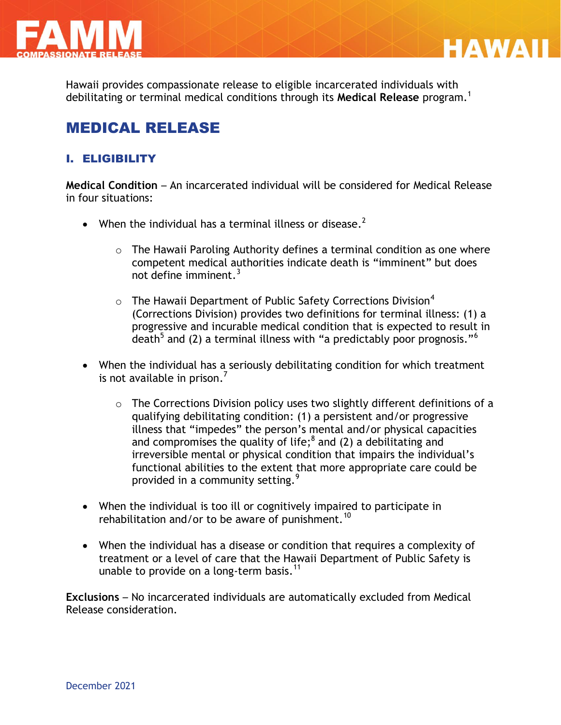

Hawaii provides compassionate release to eligible incarcerated individuals with debilitating or terminal medical conditions through its **Medical Release** program.<sup>1</sup>

**HAWAII** 

# MEDICAL RELEASE

## I. ELIGIBILITY

**Medical Condition** – An incarcerated individual will be considered for Medical Release in four situations:

- When the individual has a terminal illness or disease.<sup>2</sup>
	- $\circ$  The Hawaii Paroling Authority defines a terminal condition as one where competent medical authorities indicate death is "imminent" but does not define imminent. $3$
	- $\circ$  The Hawaii Department of Public Safety Corrections Division<sup>4</sup> (Corrections Division) provides two definitions for terminal illness: (1) a progressive and incurable medical condition that is expected to result in death $^5$  and (2) a terminal illness with "a predictably poor prognosis." $^6$
- When the individual has a seriously debilitating condition for which treatment is not available in prison.<sup>7</sup>
	- o The Corrections Division policy uses two slightly different definitions of a qualifying debilitating condition: (1) a persistent and/or progressive illness that "impedes" the person's mental and/or physical capacities and compromises the quality of life;  $8$  and (2) a debilitating and irreversible mental or physical condition that impairs the individual's functional abilities to the extent that more appropriate care could be provided in a community setting.<sup>9</sup>
- When the individual is too ill or cognitively impaired to participate in rehabilitation and/or to be aware of punishment.<sup>10</sup>
- When the individual has a disease or condition that requires a complexity of treatment or a level of care that the Hawaii Department of Public Safety is unable to provide on a long-term basis.<sup>11</sup>

**Exclusions** – No incarcerated individuals are automatically excluded from Medical Release consideration.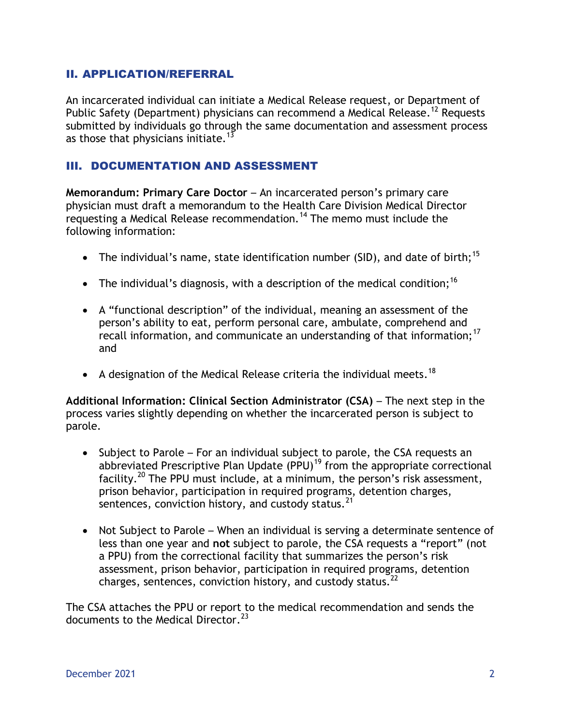#### II. APPLICATION/REFERRAL

An incarcerated individual can initiate a Medical Release request, or Department of Public Safety (Department) physicians can recommend a Medical Release.<sup>12</sup> Requests submitted by individuals go through the same documentation and assessment process as those that physicians initiate.<sup>13</sup>

#### III. DOCUMENTATION AND ASSESSMENT

**Memorandum: Primary Care Doctor** – An incarcerated person's primary care physician must draft a memorandum to the Health Care Division Medical Director requesting a Medical Release recommendation.<sup>14</sup> The memo must include the following information:

- The individual's name, state identification number (SID), and date of birth;<sup>15</sup>
- The individual's diagnosis, with a description of the medical condition;<sup>16</sup>
- A "functional description" of the individual, meaning an assessment of the person's ability to eat, perform personal care, ambulate, comprehend and recall information, and communicate an understanding of that information;<sup>17</sup> and
- A designation of the Medical Release criteria the individual meets.<sup>18</sup>

**Additional Information: Clinical Section Administrator (CSA)** – The next step in the process varies slightly depending on whether the incarcerated person is subject to parole.

- Subject to Parole For an individual subject to parole, the CSA requests an abbreviated Prescriptive Plan Update (PPU)<sup>19</sup> from the appropriate correctional facility.<sup>20</sup> The PPU must include, at a minimum, the person's risk assessment, prison behavior, participation in required programs, detention charges, sentences, conviction history, and custody status.  $21$
- Not Subject to Parole When an individual is serving a determinate sentence of less than one year and **not** subject to parole, the CSA requests a "report" (not a PPU) from the correctional facility that summarizes the person's risk assessment, prison behavior, participation in required programs, detention charges, sentences, conviction history, and custody status.<sup>22</sup>

The CSA attaches the PPU or report to the medical recommendation and sends the documents to the Medical Director.<sup>23</sup>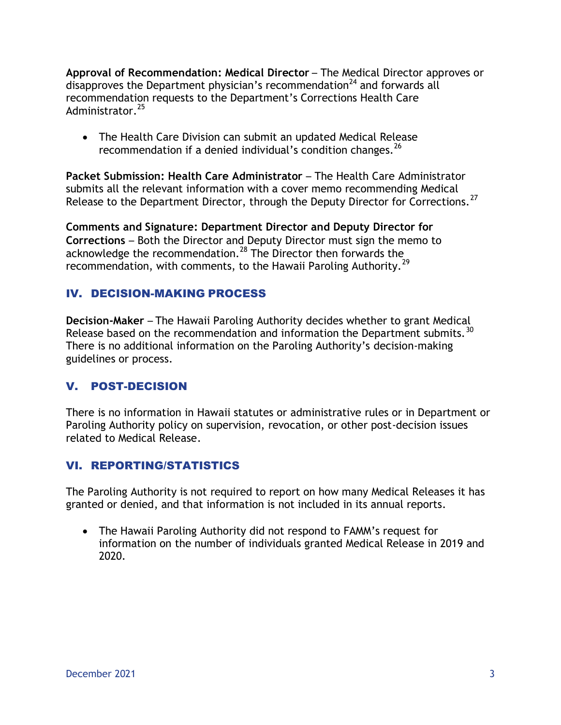**Approval of Recommendation: Medical Director** – The Medical Director approves or disapproves the Department physician's recommendation<sup>24</sup> and forwards all recommendation requests to the Department's Corrections Health Care Administrator.<sup>25</sup>

 The Health Care Division can submit an updated Medical Release recommendation if a denied individual's condition changes.<sup>26</sup>

**Packet Submission: Health Care Administrator** – The Health Care Administrator submits all the relevant information with a cover memo recommending Medical Release to the Department Director, through the Deputy Director for Corrections.<sup>27</sup>

**Comments and Signature: Department Director and Deputy Director for Corrections** – Both the Director and Deputy Director must sign the memo to acknowledge the recommendation.<sup>28</sup> The Director then forwards the recommendation, with comments, to the Hawaii Paroling Authority.<sup>29</sup>

## IV. DECISION-MAKING PROCESS

**Decision-Maker** – The Hawaii Paroling Authority decides whether to grant Medical Release based on the recommendation and information the Department submits.<sup>30</sup> There is no additional information on the Paroling Authority's decision-making guidelines or process.

#### V. POST-DECISION

There is no information in Hawaii statutes or administrative rules or in Department or Paroling Authority policy on supervision, revocation, or other post-decision issues related to Medical Release.

#### VI. REPORTING/STATISTICS

The Paroling Authority is not required to report on how many Medical Releases it has granted or denied, and that information is not included in its annual reports.

 The Hawaii Paroling Authority did not respond to FAMM's request for information on the number of individuals granted Medical Release in 2019 and 2020.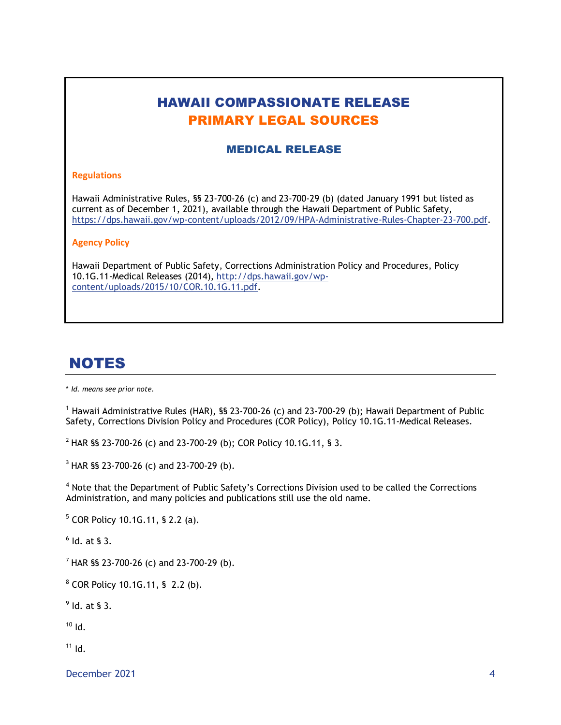# HAWAII COMPASSIONATE RELEASE PRIMARY LEGAL SOURCES

#### MEDICAL RELEASE

#### **Regulations**

Hawaii Administrative Rules, §§ 23-700-26 (c) and 23-700-29 (b) (dated January 1991 but listed as current as of December 1, 2021), available through the Hawaii Department of Public Safety, https://dps.hawaii.gov/wp-content/uploads/2012/09/HPA-Administrative-Rules-Chapter-23-700.pdf.

#### **Agency Policy**

Hawaii Department of Public Safety, Corrections Administration Policy and Procedures, Policy 10.1G.11-Medical Releases (2014), [http://dps.hawaii.gov/wp](http://dps.hawaii.gov/wp-content/uploads/2015/10/COR.10.1G.11.pdf)[content/uploads/2015/10/COR.10.1G.11.pdf.](http://dps.hawaii.gov/wp-content/uploads/2015/10/COR.10.1G.11.pdf)

## NOTES

\* *Id. means see prior note.*

 $1$  Hawaii Administrative Rules (HAR), §§ 23-700-26 (c) and 23-700-29 (b); Hawaii Department of Public Safety, Corrections Division Policy and Procedures (COR Policy), Policy 10.1G.11-Medical Releases.

<sup>2</sup> HAR §§ 23-700-26 (c) and 23-700-29 (b); COR Policy 10.1G.11, § 3.

 $3$  HAR §§ 23-700-26 (c) and 23-700-29 (b).

<sup>4</sup> Note that the Department of Public Safety's Corrections Division used to be called the Corrections Administration, and many policies and publications still use the old name.

<sup>5</sup> COR Policy 10.1G.11, § 2.2 (a).

 $<sup>6</sup>$  Id. at § 3.</sup>

<sup>7</sup> HAR §§ 23-700-26 (c) and 23-700-29 (b).

 $8$  COR Policy 10.1G.11, § 2.2 (b).

 $<sup>9</sup>$  ld. at § 3.</sup>

 $10$  Id.

 $11$  Id.

December 2021 4